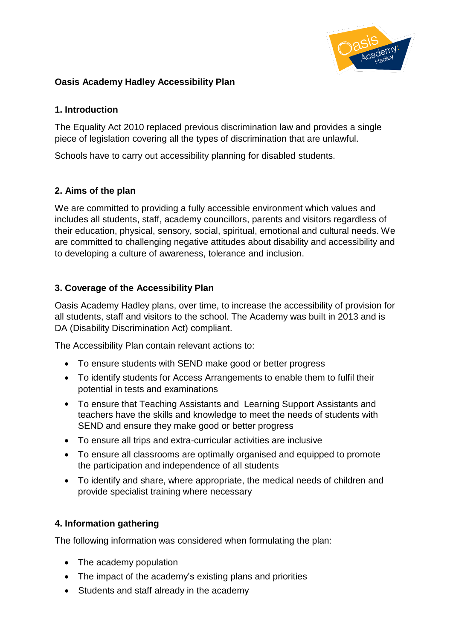

## **Oasis Academy Hadley Accessibility Plan**

#### **1. Introduction**

The Equality Act 2010 replaced previous discrimination law and provides a single piece of legislation covering all the types of discrimination that are unlawful.

Schools have to carry out accessibility planning for disabled students.

### **2. Aims of the plan**

We are committed to providing a fully accessible environment which values and includes all students, staff, academy councillors, parents and visitors regardless of their education, physical, sensory, social, spiritual, emotional and cultural needs. We are committed to challenging negative attitudes about disability and accessibility and to developing a culture of awareness, tolerance and inclusion.

### **3. Coverage of the Accessibility Plan**

Oasis Academy Hadley plans, over time, to increase the accessibility of provision for all students, staff and visitors to the school. The Academy was built in 2013 and is DA (Disability Discrimination Act) compliant.

The Accessibility Plan contain relevant actions to:

- To ensure students with SEND make good or better progress
- To identify students for Access Arrangements to enable them to fulfil their potential in tests and examinations
- To ensure that Teaching Assistants and Learning Support Assistants and teachers have the skills and knowledge to meet the needs of students with SEND and ensure they make good or better progress
- To ensure all trips and extra-curricular activities are inclusive
- To ensure all classrooms are optimally organised and equipped to promote the participation and independence of all students
- To identify and share, where appropriate, the medical needs of children and provide specialist training where necessary

### **4. Information gathering**

The following information was considered when formulating the plan:

- The academy population
- The impact of the academy's existing plans and priorities
- Students and staff already in the academy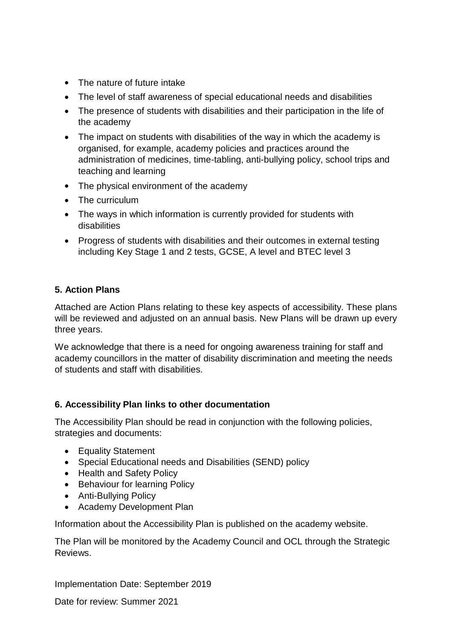- The nature of future intake
- The level of staff awareness of special educational needs and disabilities
- The presence of students with disabilities and their participation in the life of the academy
- The impact on students with disabilities of the way in which the academy is organised, for example, academy policies and practices around the administration of medicines, time-tabling, anti-bullying policy, school trips and teaching and learning
- The physical environment of the academy
- The curriculum
- The ways in which information is currently provided for students with disabilities
- Progress of students with disabilities and their outcomes in external testing including Key Stage 1 and 2 tests, GCSE, A level and BTEC level 3

## **5. Action Plans**

Attached are Action Plans relating to these key aspects of accessibility. These plans will be reviewed and adjusted on an annual basis. New Plans will be drawn up every three years.

We acknowledge that there is a need for ongoing awareness training for staff and academy councillors in the matter of disability discrimination and meeting the needs of students and staff with disabilities.

### **6. Accessibility Plan links to other documentation**

The Accessibility Plan should be read in conjunction with the following policies, strategies and documents:

- Equality Statement
- Special Educational needs and Disabilities (SEND) policy
- Health and Safety Policy
- Behaviour for learning Policy
- Anti-Bullying Policy
- Academy Development Plan

Information about the Accessibility Plan is published on the academy website.

The Plan will be monitored by the Academy Council and OCL through the Strategic Reviews.

Implementation Date: September 2019

Date for review: Summer 2021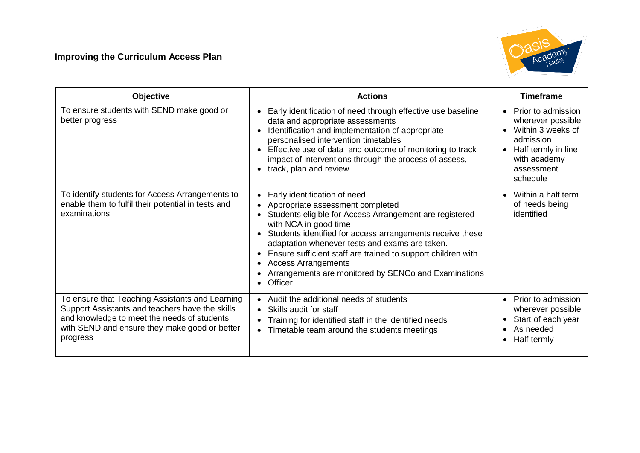# **Improving the Curriculum Access Plan**



| <b>Objective</b>                                                                                                                                                                                               | <b>Actions</b>                                                                                                                                                                                                                                                                                                                                                                                                                                                              | <b>Timeframe</b>                                                                                                                                        |
|----------------------------------------------------------------------------------------------------------------------------------------------------------------------------------------------------------------|-----------------------------------------------------------------------------------------------------------------------------------------------------------------------------------------------------------------------------------------------------------------------------------------------------------------------------------------------------------------------------------------------------------------------------------------------------------------------------|---------------------------------------------------------------------------------------------------------------------------------------------------------|
| To ensure students with SEND make good or<br>better progress                                                                                                                                                   | Early identification of need through effective use baseline<br>data and appropriate assessments<br>Identification and implementation of appropriate<br>$\bullet$<br>personalised intervention timetables<br>Effective use of data and outcome of monitoring to track<br>$\bullet$<br>impact of interventions through the process of assess,<br>track, plan and review<br>$\bullet$                                                                                          | Prior to admission<br>$\bullet$<br>wherever possible<br>Within 3 weeks of<br>admission<br>Half termly in line<br>with academy<br>assessment<br>schedule |
| To identify students for Access Arrangements to<br>enable them to fulfil their potential in tests and<br>examinations                                                                                          | Early identification of need<br>$\bullet$<br>Appropriate assessment completed<br>$\bullet$<br>Students eligible for Access Arrangement are registered<br>with NCA in good time<br>Students identified for access arrangements receive these<br>adaptation whenever tests and exams are taken.<br>Ensure sufficient staff are trained to support children with<br>$\bullet$<br><b>Access Arrangements</b><br>Arrangements are monitored by SENCo and Examinations<br>Officer | Within a half term<br>of needs being<br>identified                                                                                                      |
| To ensure that Teaching Assistants and Learning<br>Support Assistants and teachers have the skills<br>and knowledge to meet the needs of students<br>with SEND and ensure they make good or better<br>progress | Audit the additional needs of students<br>$\bullet$<br>Skills audit for staff<br>$\bullet$<br>Training for identified staff in the identified needs<br>Timetable team around the students meetings<br>$\bullet$                                                                                                                                                                                                                                                             | Prior to admission<br>$\bullet$<br>wherever possible<br>Start of each year<br>As needed<br>Half termly                                                  |